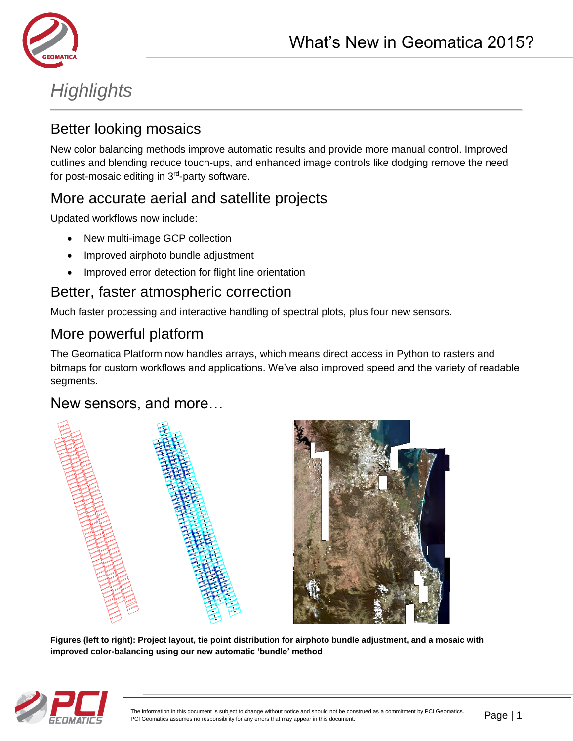

# *Highlights*

### Better looking mosaics

New color balancing methods improve automatic results and provide more manual control. Improved cutlines and blending reduce touch-ups, and enhanced image controls like dodging remove the need for post-mosaic editing in 3<sup>rd</sup>-party software.

### More accurate aerial and satellite projects

Updated workflows now include:

- New multi-image GCP collection
- Improved airphoto bundle adjustment
- Improved error detection for flight line orientation

### Better, faster atmospheric correction

Much faster processing and interactive handling of spectral plots, plus four new sensors.

### More powerful platform

The Geomatica Platform now handles arrays, which means direct access in Python to rasters and bitmaps for custom workflows and applications. We've also improved speed and the variety of readable segments.

### New sensors, and more…





**Figures (left to right): Project layout, tie point distribution for airphoto bundle adjustment, and a mosaic with improved color-balancing using our new automatic 'bundle' method**

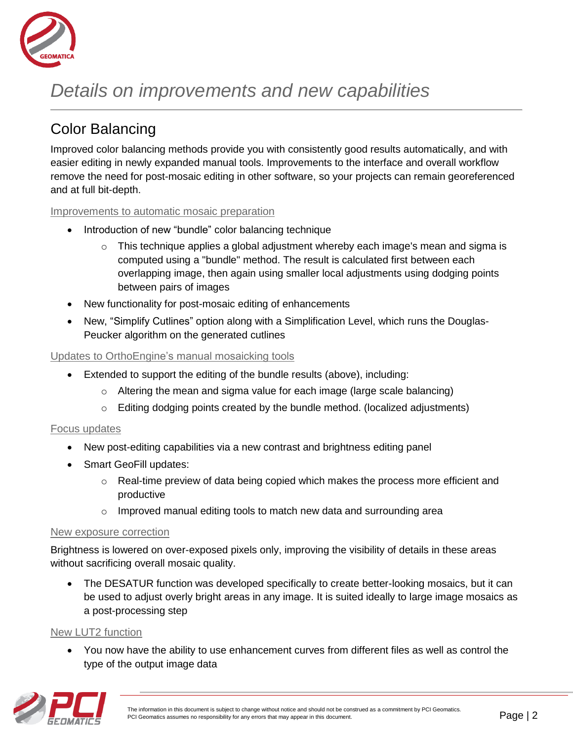

# *Details on improvements and new capabilities*

## Color Balancing

Improved color balancing methods provide you with consistently good results automatically, and with easier editing in newly expanded manual tools. Improvements to the interface and overall workflow remove the need for post-mosaic editing in other software, so your projects can remain georeferenced and at full bit-depth.

#### Improvements to automatic mosaic preparation

- Introduction of new "bundle" color balancing technique
	- $\circ$  This technique applies a global adjustment whereby each image's mean and sigma is computed using a "bundle" method. The result is calculated first between each overlapping image, then again using smaller local adjustments using dodging points between pairs of images
- New functionality for post-mosaic editing of enhancements
- New, "Simplify Cutlines" option along with a Simplification Level, which runs the Douglas-Peucker algorithm on the generated cutlines

#### Updates to OrthoEngine's manual mosaicking tools

- Extended to support the editing of the bundle results (above), including:
	- o Altering the mean and sigma value for each image (large scale balancing)
	- $\circ$  Editing dodging points created by the bundle method. (localized adjustments)

#### Focus updates

- New post-editing capabilities via a new contrast and brightness editing panel
- Smart GeoFill updates:
	- $\circ$  Real-time preview of data being copied which makes the process more efficient and productive
	- o Improved manual editing tools to match new data and surrounding area

#### New exposure correction

Brightness is lowered on over-exposed pixels only, improving the visibility of details in these areas without sacrificing overall mosaic quality.

 The DESATUR function was developed specifically to create better-looking mosaics, but it can be used to adjust overly bright areas in any image. It is suited ideally to large image mosaics as a post-processing step

#### New LUT2 function

 You now have the ability to use enhancement curves from different files as well as control the type of the output image data

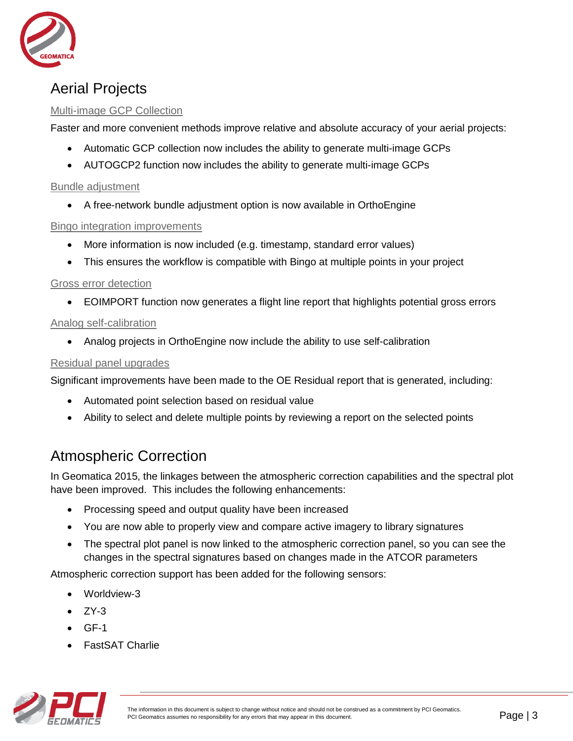

### Aerial Projects

### Multi-image GCP Collection

Faster and more convenient methods improve relative and absolute accuracy of your aerial projects:

- Automatic GCP collection now includes the ability to generate multi-image GCPs
- AUTOGCP2 function now includes the ability to generate multi-image GCPs

#### Bundle adjustment

A free-network bundle adjustment option is now available in OrthoEngine

#### Bingo integration improvements

- More information is now included (e.g. timestamp, standard error values)
- This ensures the workflow is compatible with Bingo at multiple points in your project

#### Gross error detection

EOIMPORT function now generates a flight line report that highlights potential gross errors

### Analog self-calibration

Analog projects in OrthoEngine now include the ability to use self-calibration

#### Residual panel upgrades

Significant improvements have been made to the OE Residual report that is generated, including:

- Automated point selection based on residual value
- Ability to select and delete multiple points by reviewing a report on the selected points

## Atmospheric Correction

In Geomatica 2015, the linkages between the atmospheric correction capabilities and the spectral plot have been improved. This includes the following enhancements:

- Processing speed and output quality have been increased
- You are now able to properly view and compare active imagery to library signatures
- The spectral plot panel is now linked to the atmospheric correction panel, so you can see the changes in the spectral signatures based on changes made in the ATCOR parameters

Atmospheric correction support has been added for the following sensors:

- Worldview-3
- ZY-3
- GF-1
- FastSAT Charlie